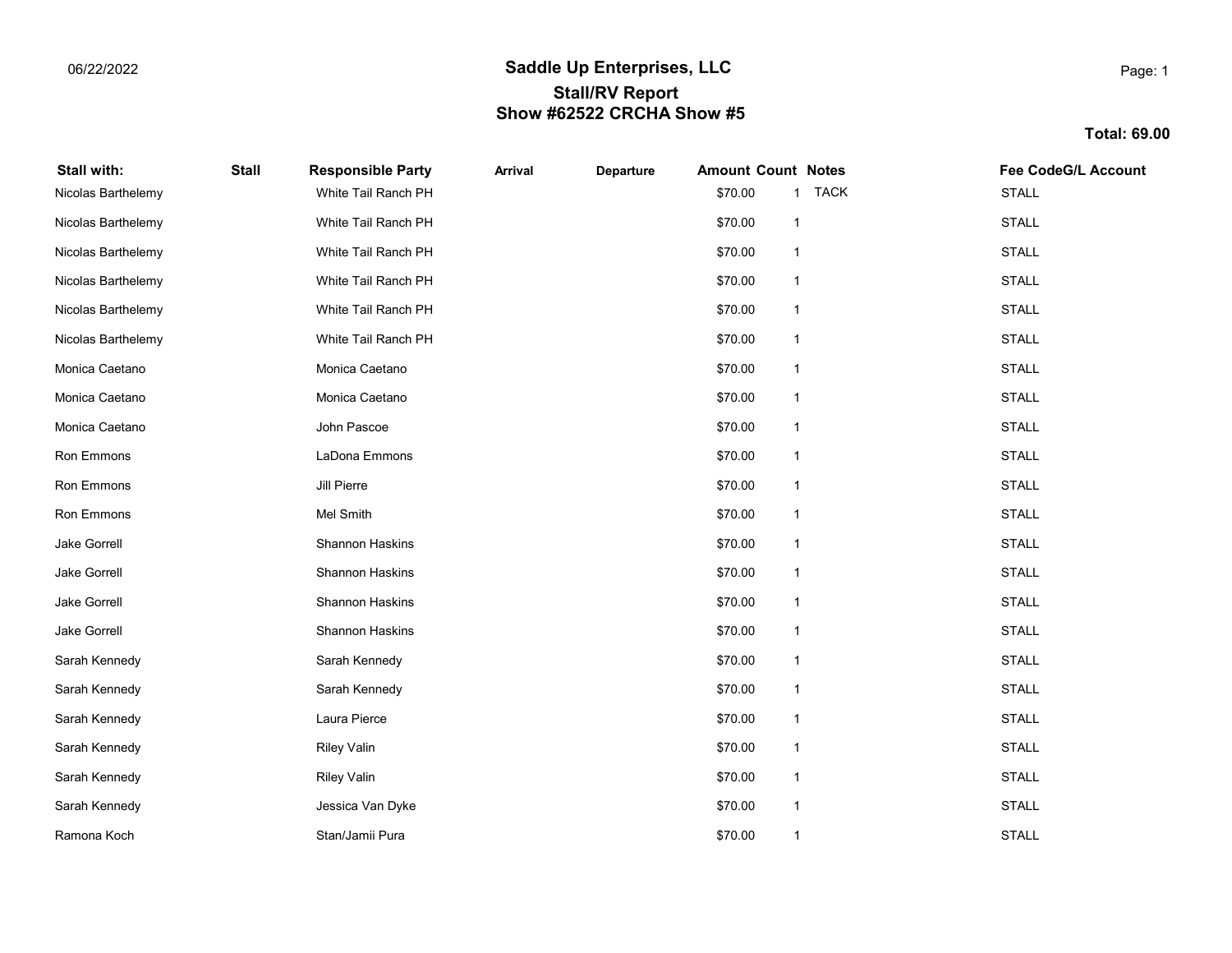## 06/22/2022 Communication of the Saddle Up Enterprises, LLC Stall/RV Report Show #62522 CRCHA Show #5

Total: 69.00

| Stall with:        | <b>Stall</b> | <b>Responsible Party</b> | <b>Arrival</b> | Departure | <b>Amount Count Notes</b> |                         | <b>Fee CodeG/L Account</b> |
|--------------------|--------------|--------------------------|----------------|-----------|---------------------------|-------------------------|----------------------------|
| Nicolas Barthelemy |              | White Tail Ranch PH      |                |           | \$70.00                   | 1 TACK                  | <b>STALL</b>               |
| Nicolas Barthelemy |              | White Tail Ranch PH      |                |           | \$70.00                   | $\mathbf{1}$            | <b>STALL</b>               |
| Nicolas Barthelemy |              | White Tail Ranch PH      |                |           | \$70.00                   | -1                      | <b>STALL</b>               |
| Nicolas Barthelemy |              | White Tail Ranch PH      |                |           | \$70.00                   | -1                      | <b>STALL</b>               |
| Nicolas Barthelemy |              | White Tail Ranch PH      |                |           | \$70.00                   | $\mathbf 1$             | <b>STALL</b>               |
| Nicolas Barthelemy |              | White Tail Ranch PH      |                |           | \$70.00                   | $\mathbf{1}$            | <b>STALL</b>               |
| Monica Caetano     |              | Monica Caetano           |                |           | \$70.00                   | $\overline{\mathbf{1}}$ | <b>STALL</b>               |
| Monica Caetano     |              | Monica Caetano           |                |           | \$70.00                   | -1                      | <b>STALL</b>               |
| Monica Caetano     |              | John Pascoe              |                |           | \$70.00                   | $\mathbf 1$             | <b>STALL</b>               |
| Ron Emmons         |              | LaDona Emmons            |                |           | \$70.00                   | $\mathbf 1$             | <b>STALL</b>               |
| Ron Emmons         |              | Jill Pierre              |                |           | \$70.00                   | $\mathbf{1}$            | <b>STALL</b>               |
| Ron Emmons         |              | Mel Smith                |                |           | \$70.00                   | $\mathbf{1}$            | <b>STALL</b>               |
| Jake Gorrell       |              | Shannon Haskins          |                |           | \$70.00                   | $\mathbf{1}$            | <b>STALL</b>               |
| Jake Gorrell       |              | Shannon Haskins          |                |           | \$70.00                   | $\mathbf 1$             | <b>STALL</b>               |
| Jake Gorrell       |              | Shannon Haskins          |                |           | \$70.00                   | $\mathbf{1}$            | <b>STALL</b>               |
| Jake Gorrell       |              | Shannon Haskins          |                |           | \$70.00                   | $\mathbf{1}$            | <b>STALL</b>               |
| Sarah Kennedy      |              | Sarah Kennedy            |                |           | \$70.00                   | $\mathbf{1}$            | <b>STALL</b>               |
| Sarah Kennedy      |              | Sarah Kennedy            |                |           | \$70.00                   | $\mathbf{1}$            | <b>STALL</b>               |
| Sarah Kennedy      |              | Laura Pierce             |                |           | \$70.00                   | $\mathbf 1$             | <b>STALL</b>               |
| Sarah Kennedy      |              | <b>Riley Valin</b>       |                |           | \$70.00                   | $\mathbf{1}$            | <b>STALL</b>               |
| Sarah Kennedy      |              | <b>Riley Valin</b>       |                |           | \$70.00                   | $\mathbf{1}$            | <b>STALL</b>               |
| Sarah Kennedy      |              | Jessica Van Dyke         |                |           | \$70.00                   | $\mathbf{1}$            | <b>STALL</b>               |
| Ramona Koch        |              | Stan/Jamii Pura          |                |           | \$70.00                   | $\mathbf{1}$            | <b>STALL</b>               |

Page: 1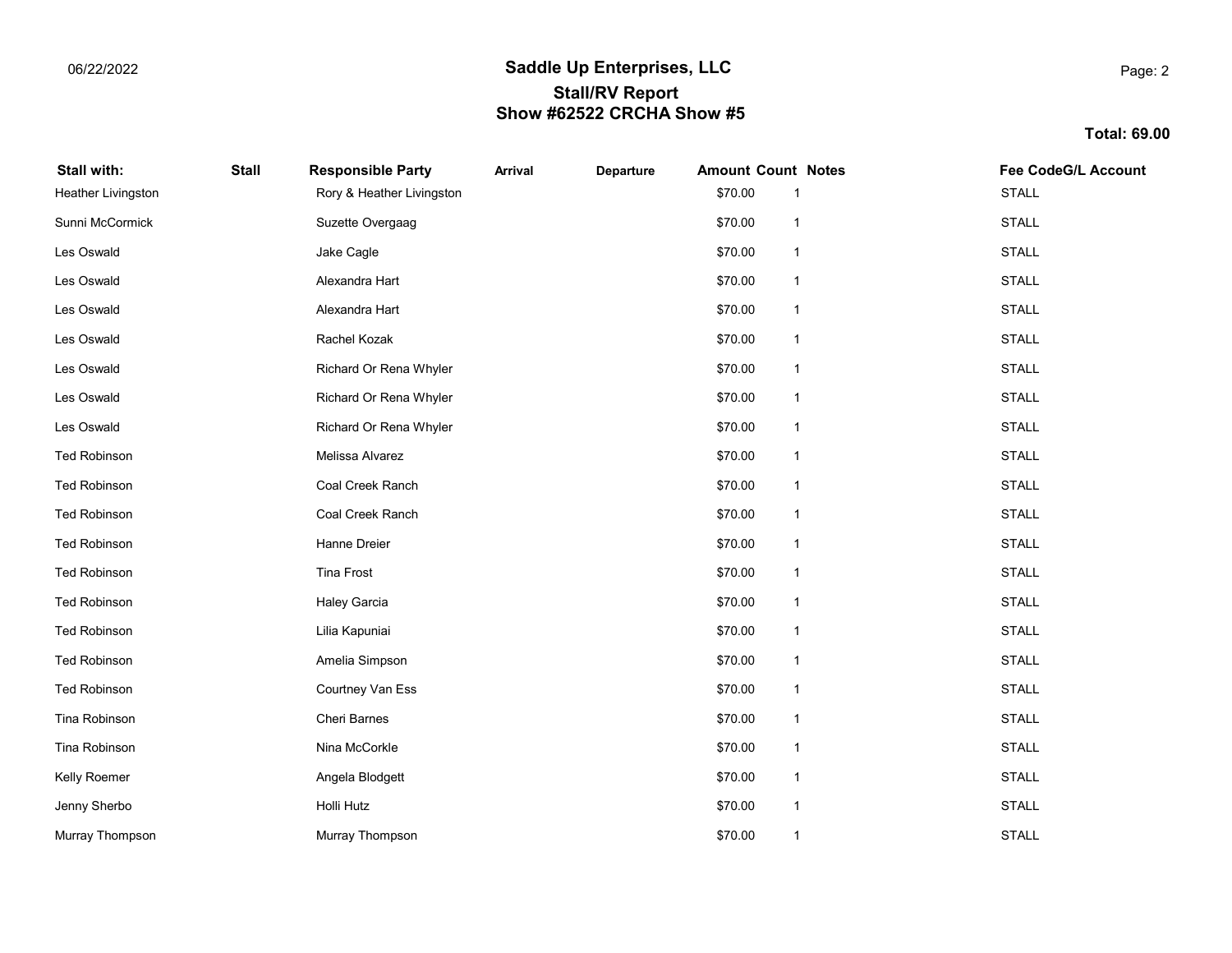## 06/22/2022 Communication of the Saddle Up Enterprises, LLC Stall/RV Report Show #62522 CRCHA Show #5

Total: 69.00

| Stall with:               | <b>Stall</b> | <b>Responsible Party</b>  | <b>Arrival</b> | Departure | <b>Amount Count Notes</b> |                         | <b>Fee CodeG/L Account</b> |
|---------------------------|--------------|---------------------------|----------------|-----------|---------------------------|-------------------------|----------------------------|
| <b>Heather Livingston</b> |              | Rory & Heather Livingston |                |           | \$70.00                   |                         | <b>STALL</b>               |
| Sunni McCormick           |              | Suzette Overgaag          |                |           | \$70.00                   | $\mathbf{1}$            | <b>STALL</b>               |
| Les Oswald                |              | Jake Cagle                |                |           | \$70.00                   | -1                      | <b>STALL</b>               |
| Les Oswald                |              | Alexandra Hart            |                |           | \$70.00                   | $\mathbf{1}$            | <b>STALL</b>               |
| Les Oswald                |              | Alexandra Hart            |                |           | \$70.00                   | $\mathbf 1$             | <b>STALL</b>               |
| Les Oswald                |              | Rachel Kozak              |                |           | \$70.00                   | $\mathbf 1$             | <b>STALL</b>               |
| Les Oswald                |              | Richard Or Rena Whyler    |                |           | \$70.00                   | $\mathbf{1}$            | <b>STALL</b>               |
| Les Oswald                |              | Richard Or Rena Whyler    |                |           | \$70.00                   | $\overline{\mathbf{1}}$ | <b>STALL</b>               |
| Les Oswald                |              | Richard Or Rena Whyler    |                |           | \$70.00                   | $\mathbf{1}$            | <b>STALL</b>               |
| <b>Ted Robinson</b>       |              | Melissa Alvarez           |                |           | \$70.00                   | $\mathbf 1$             | <b>STALL</b>               |
| <b>Ted Robinson</b>       |              | Coal Creek Ranch          |                |           | \$70.00                   | $\mathbf 1$             | <b>STALL</b>               |
| <b>Ted Robinson</b>       |              | Coal Creek Ranch          |                |           | \$70.00                   | $\mathbf{1}$            | <b>STALL</b>               |
| <b>Ted Robinson</b>       |              | Hanne Dreier              |                |           | \$70.00                   | -1                      | <b>STALL</b>               |
| <b>Ted Robinson</b>       |              | <b>Tina Frost</b>         |                |           | \$70.00                   | $\mathbf{1}$            | <b>STALL</b>               |
| <b>Ted Robinson</b>       |              | <b>Haley Garcia</b>       |                |           | \$70.00                   | $\mathbf{1}$            | <b>STALL</b>               |
| <b>Ted Robinson</b>       |              | Lilia Kapuniai            |                |           | \$70.00                   | $\mathbf 1$             | <b>STALL</b>               |
| <b>Ted Robinson</b>       |              | Amelia Simpson            |                |           | \$70.00                   | $\mathbf{1}$            | <b>STALL</b>               |
| <b>Ted Robinson</b>       |              | Courtney Van Ess          |                |           | \$70.00                   | $\overline{\mathbf{1}}$ | <b>STALL</b>               |
| Tina Robinson             |              | Cheri Barnes              |                |           | \$70.00                   | $\mathbf{1}$            | <b>STALL</b>               |
| Tina Robinson             |              | Nina McCorkle             |                |           | \$70.00                   | 1                       | <b>STALL</b>               |
| Kelly Roemer              |              | Angela Blodgett           |                |           | \$70.00                   | $\mathbf 1$             | <b>STALL</b>               |
| Jenny Sherbo              |              | Holli Hutz                |                |           | \$70.00                   | $\mathbf 1$             | <b>STALL</b>               |
| Murray Thompson           |              | Murray Thompson           |                |           | \$70.00                   | 1                       | <b>STALL</b>               |

Page: 2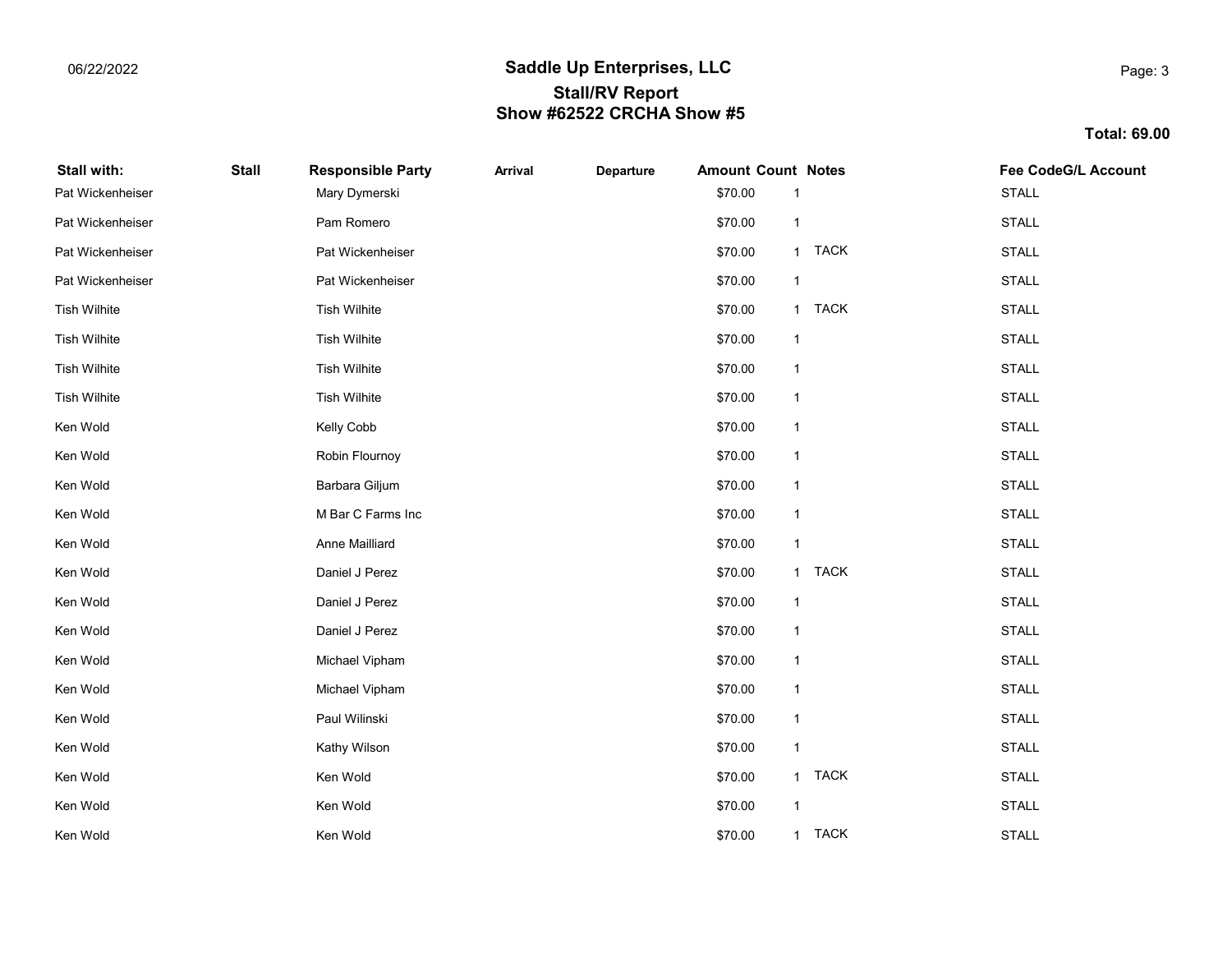## 06/22/2022 Communication of the Saddle Up Enterprises, LLC Stall/RV Report Show #62522 CRCHA Show #5

Total: 69.00

| Stall with:         | <b>Stall</b> | <b>Responsible Party</b> | <b>Arrival</b> | Departure | <b>Amount Count Notes</b> |              |        | <b>Fee CodeG/L Account</b> |
|---------------------|--------------|--------------------------|----------------|-----------|---------------------------|--------------|--------|----------------------------|
| Pat Wickenheiser    |              | Mary Dymerski            |                |           | \$70.00                   |              |        | <b>STALL</b>               |
| Pat Wickenheiser    |              | Pam Romero               |                |           | \$70.00                   | $\mathbf{1}$ |        | <b>STALL</b>               |
| Pat Wickenheiser    |              | Pat Wickenheiser         |                |           | \$70.00                   |              | 1 TACK | <b>STALL</b>               |
| Pat Wickenheiser    |              | Pat Wickenheiser         |                |           | \$70.00                   | $\mathbf{1}$ |        | <b>STALL</b>               |
| <b>Tish Wilhite</b> |              | <b>Tish Wilhite</b>      |                |           | \$70.00                   |              | 1 TACK | <b>STALL</b>               |
| <b>Tish Wilhite</b> |              | <b>Tish Wilhite</b>      |                |           | \$70.00                   | $\mathbf{1}$ |        | <b>STALL</b>               |
| Tish Wilhite        |              | <b>Tish Wilhite</b>      |                |           | \$70.00                   | $\mathbf{1}$ |        | <b>STALL</b>               |
| <b>Tish Wilhite</b> |              | <b>Tish Wilhite</b>      |                |           | \$70.00                   | $\mathbf{1}$ |        | <b>STALL</b>               |
| Ken Wold            |              | Kelly Cobb               |                |           | \$70.00                   | $\mathbf{1}$ |        | <b>STALL</b>               |
| Ken Wold            |              | Robin Flournoy           |                |           | \$70.00                   | $\mathbf{1}$ |        | <b>STALL</b>               |
| Ken Wold            |              | Barbara Giljum           |                |           | \$70.00                   | $\mathbf{1}$ |        | <b>STALL</b>               |
| Ken Wold            |              | M Bar C Farms Inc        |                |           | \$70.00                   | $\mathbf{1}$ |        | <b>STALL</b>               |
| Ken Wold            |              | Anne Mailliard           |                |           | \$70.00                   | $\mathbf{1}$ |        | <b>STALL</b>               |
| Ken Wold            |              | Daniel J Perez           |                |           | \$70.00                   |              | 1 TACK | <b>STALL</b>               |
| Ken Wold            |              | Daniel J Perez           |                |           | \$70.00                   | $\mathbf{1}$ |        | <b>STALL</b>               |
| Ken Wold            |              | Daniel J Perez           |                |           | \$70.00                   | $\mathbf{1}$ |        | <b>STALL</b>               |
| Ken Wold            |              | Michael Vipham           |                |           | \$70.00                   | $\mathbf{1}$ |        | <b>STALL</b>               |
| Ken Wold            |              | Michael Vipham           |                |           | \$70.00                   | $\mathbf{1}$ |        | <b>STALL</b>               |
| Ken Wold            |              | Paul Wilinski            |                |           | \$70.00                   | $\mathbf{1}$ |        | <b>STALL</b>               |
| Ken Wold            |              | Kathy Wilson             |                |           | \$70.00                   | $\mathbf{1}$ |        | <b>STALL</b>               |
| Ken Wold            |              | Ken Wold                 |                |           | \$70.00                   |              | 1 TACK | <b>STALL</b>               |
| Ken Wold            |              | Ken Wold                 |                |           | \$70.00                   | $\mathbf{1}$ |        | <b>STALL</b>               |
| Ken Wold            |              | Ken Wold                 |                |           | \$70.00                   |              | 1 TACK | <b>STALL</b>               |

Page: 3